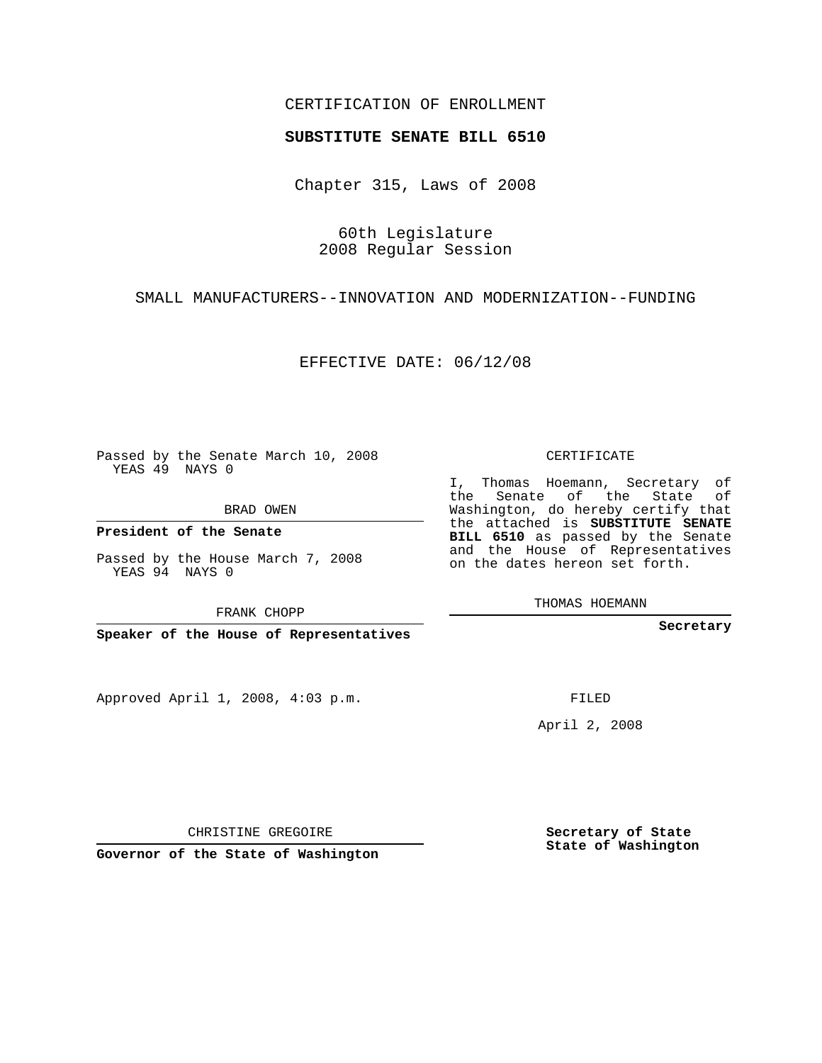## CERTIFICATION OF ENROLLMENT

## **SUBSTITUTE SENATE BILL 6510**

Chapter 315, Laws of 2008

60th Legislature 2008 Regular Session

SMALL MANUFACTURERS--INNOVATION AND MODERNIZATION--FUNDING

EFFECTIVE DATE: 06/12/08

Passed by the Senate March 10, 2008 YEAS 49 NAYS 0

BRAD OWEN

**President of the Senate**

Passed by the House March 7, 2008 YEAS 94 NAYS 0

FRANK CHOPP

**Speaker of the House of Representatives**

Approved April 1, 2008, 4:03 p.m.

CERTIFICATE

I, Thomas Hoemann, Secretary of the Senate of the State of Washington, do hereby certify that the attached is **SUBSTITUTE SENATE BILL 6510** as passed by the Senate and the House of Representatives on the dates hereon set forth.

THOMAS HOEMANN

**Secretary**

FILED

April 2, 2008

**Secretary of State State of Washington**

CHRISTINE GREGOIRE

**Governor of the State of Washington**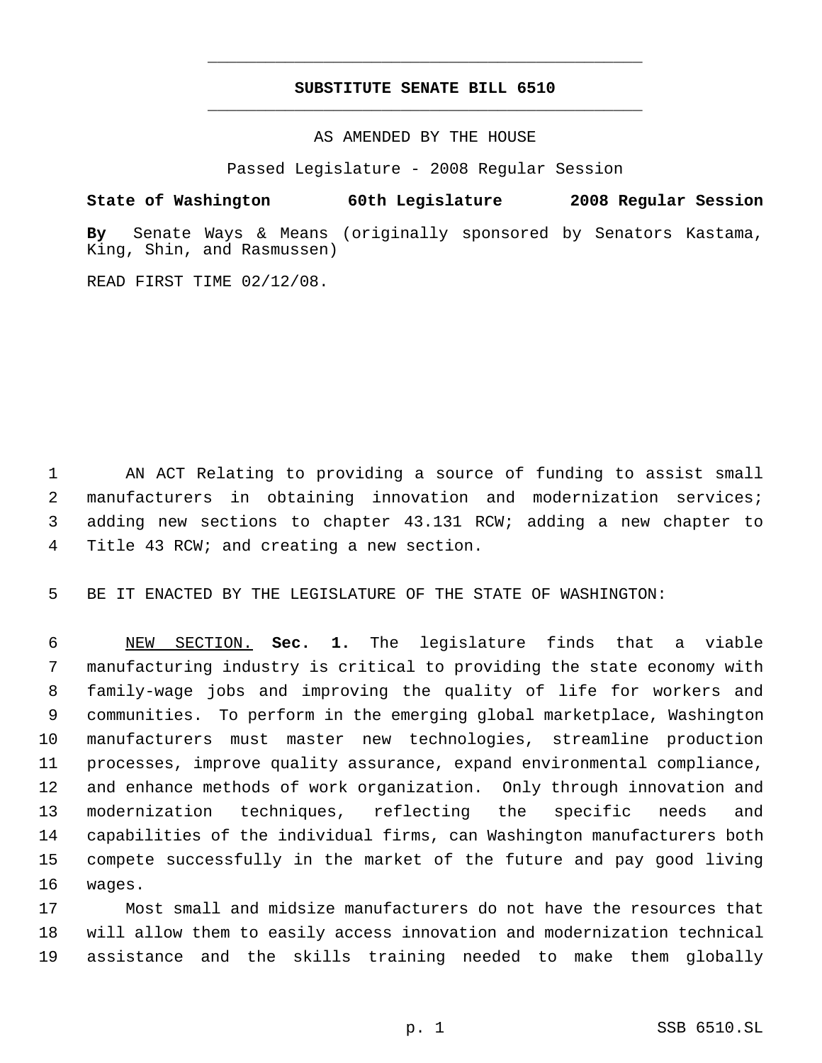## **SUBSTITUTE SENATE BILL 6510** \_\_\_\_\_\_\_\_\_\_\_\_\_\_\_\_\_\_\_\_\_\_\_\_\_\_\_\_\_\_\_\_\_\_\_\_\_\_\_\_\_\_\_\_\_

\_\_\_\_\_\_\_\_\_\_\_\_\_\_\_\_\_\_\_\_\_\_\_\_\_\_\_\_\_\_\_\_\_\_\_\_\_\_\_\_\_\_\_\_\_

AS AMENDED BY THE HOUSE

Passed Legislature - 2008 Regular Session

**State of Washington 60th Legislature 2008 Regular Session**

**By** Senate Ways & Means (originally sponsored by Senators Kastama, King, Shin, and Rasmussen)

READ FIRST TIME 02/12/08.

 AN ACT Relating to providing a source of funding to assist small manufacturers in obtaining innovation and modernization services; adding new sections to chapter 43.131 RCW; adding a new chapter to Title 43 RCW; and creating a new section.

BE IT ENACTED BY THE LEGISLATURE OF THE STATE OF WASHINGTON:

 NEW SECTION. **Sec. 1.** The legislature finds that a viable manufacturing industry is critical to providing the state economy with family-wage jobs and improving the quality of life for workers and communities. To perform in the emerging global marketplace, Washington manufacturers must master new technologies, streamline production processes, improve quality assurance, expand environmental compliance, and enhance methods of work organization. Only through innovation and modernization techniques, reflecting the specific needs and capabilities of the individual firms, can Washington manufacturers both compete successfully in the market of the future and pay good living wages.

 Most small and midsize manufacturers do not have the resources that will allow them to easily access innovation and modernization technical assistance and the skills training needed to make them globally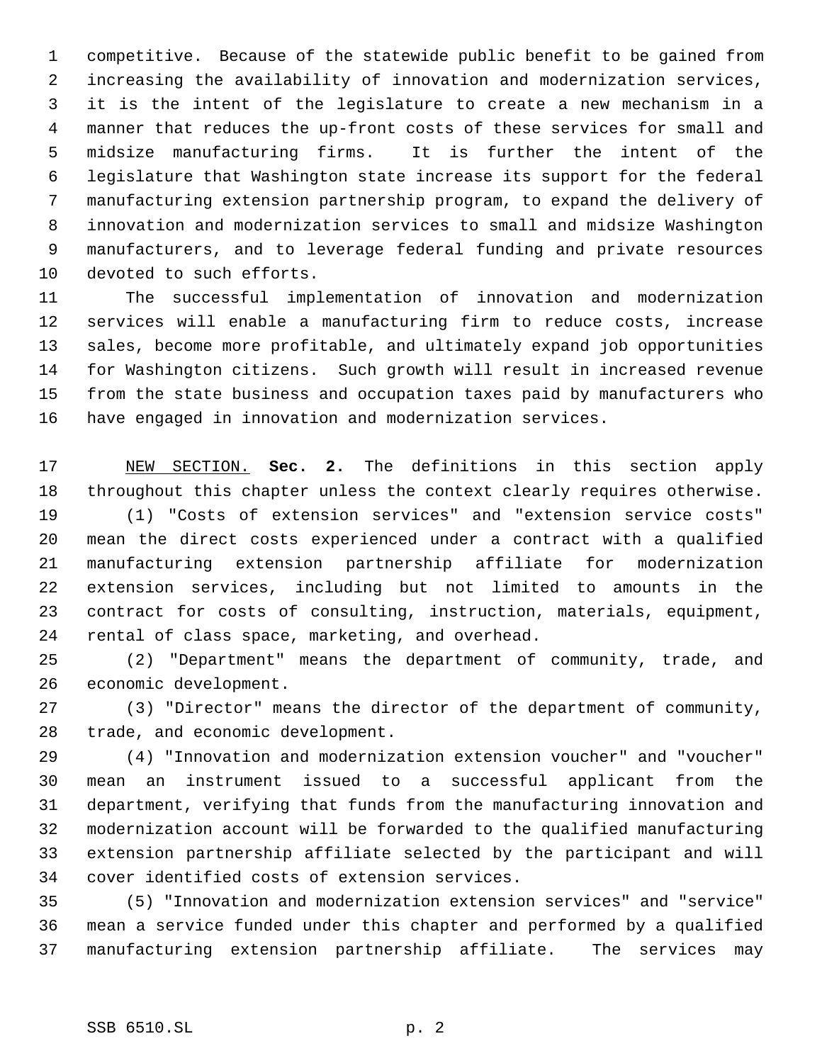competitive. Because of the statewide public benefit to be gained from increasing the availability of innovation and modernization services, it is the intent of the legislature to create a new mechanism in a manner that reduces the up-front costs of these services for small and midsize manufacturing firms. It is further the intent of the legislature that Washington state increase its support for the federal manufacturing extension partnership program, to expand the delivery of innovation and modernization services to small and midsize Washington manufacturers, and to leverage federal funding and private resources devoted to such efforts.

 The successful implementation of innovation and modernization services will enable a manufacturing firm to reduce costs, increase sales, become more profitable, and ultimately expand job opportunities for Washington citizens. Such growth will result in increased revenue from the state business and occupation taxes paid by manufacturers who have engaged in innovation and modernization services.

 NEW SECTION. **Sec. 2.** The definitions in this section apply throughout this chapter unless the context clearly requires otherwise. (1) "Costs of extension services" and "extension service costs" mean the direct costs experienced under a contract with a qualified manufacturing extension partnership affiliate for modernization extension services, including but not limited to amounts in the contract for costs of consulting, instruction, materials, equipment, rental of class space, marketing, and overhead.

 (2) "Department" means the department of community, trade, and economic development.

 (3) "Director" means the director of the department of community, trade, and economic development.

 (4) "Innovation and modernization extension voucher" and "voucher" mean an instrument issued to a successful applicant from the department, verifying that funds from the manufacturing innovation and modernization account will be forwarded to the qualified manufacturing extension partnership affiliate selected by the participant and will cover identified costs of extension services.

 (5) "Innovation and modernization extension services" and "service" mean a service funded under this chapter and performed by a qualified manufacturing extension partnership affiliate. The services may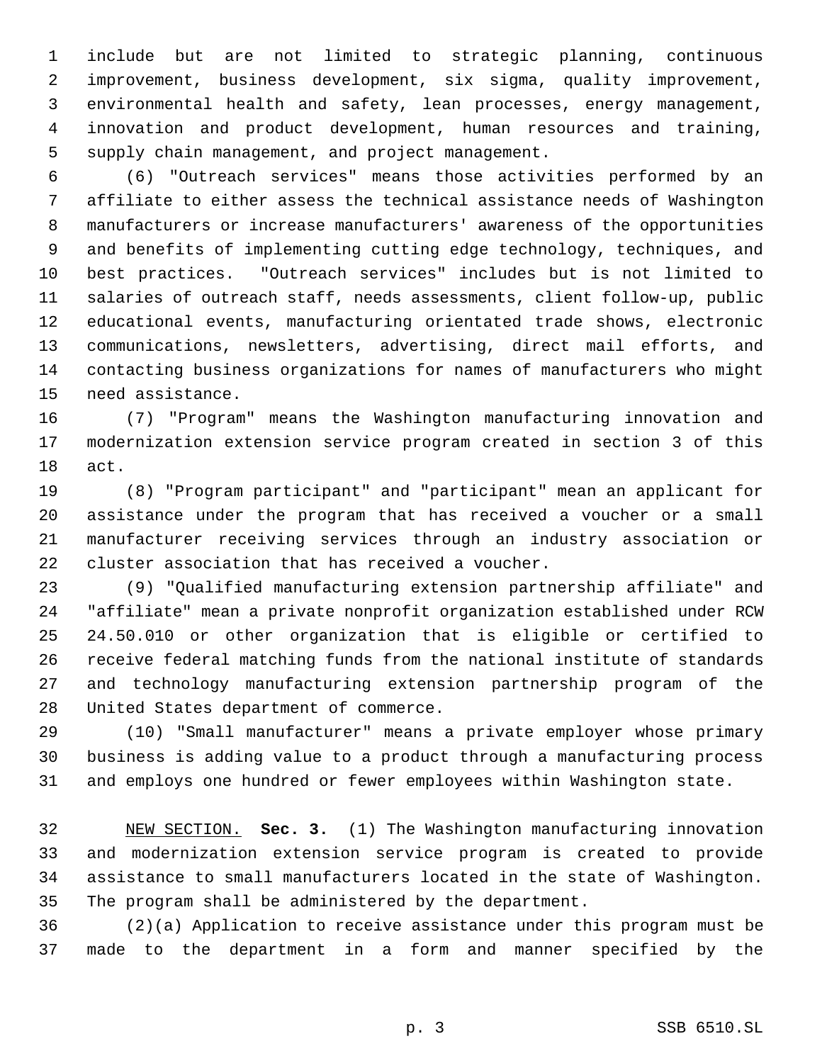include but are not limited to strategic planning, continuous improvement, business development, six sigma, quality improvement, environmental health and safety, lean processes, energy management, innovation and product development, human resources and training, supply chain management, and project management.

 (6) "Outreach services" means those activities performed by an affiliate to either assess the technical assistance needs of Washington manufacturers or increase manufacturers' awareness of the opportunities and benefits of implementing cutting edge technology, techniques, and best practices. "Outreach services" includes but is not limited to salaries of outreach staff, needs assessments, client follow-up, public educational events, manufacturing orientated trade shows, electronic communications, newsletters, advertising, direct mail efforts, and contacting business organizations for names of manufacturers who might need assistance.

 (7) "Program" means the Washington manufacturing innovation and modernization extension service program created in section 3 of this act.

 (8) "Program participant" and "participant" mean an applicant for assistance under the program that has received a voucher or a small manufacturer receiving services through an industry association or cluster association that has received a voucher.

 (9) "Qualified manufacturing extension partnership affiliate" and "affiliate" mean a private nonprofit organization established under RCW 24.50.010 or other organization that is eligible or certified to receive federal matching funds from the national institute of standards and technology manufacturing extension partnership program of the United States department of commerce.

 (10) "Small manufacturer" means a private employer whose primary business is adding value to a product through a manufacturing process and employs one hundred or fewer employees within Washington state.

 NEW SECTION. **Sec. 3.** (1) The Washington manufacturing innovation and modernization extension service program is created to provide assistance to small manufacturers located in the state of Washington. The program shall be administered by the department.

 (2)(a) Application to receive assistance under this program must be made to the department in a form and manner specified by the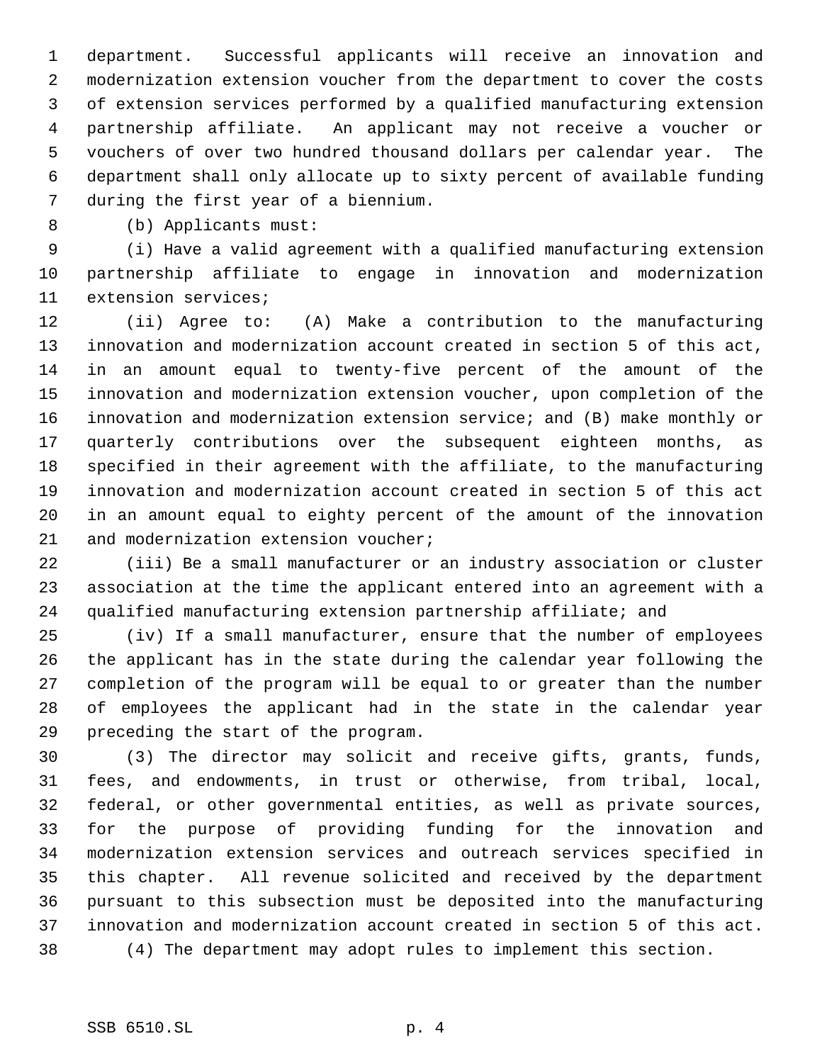department. Successful applicants will receive an innovation and modernization extension voucher from the department to cover the costs of extension services performed by a qualified manufacturing extension partnership affiliate. An applicant may not receive a voucher or vouchers of over two hundred thousand dollars per calendar year. The department shall only allocate up to sixty percent of available funding during the first year of a biennium.

(b) Applicants must:

 (i) Have a valid agreement with a qualified manufacturing extension partnership affiliate to engage in innovation and modernization extension services;

 (ii) Agree to: (A) Make a contribution to the manufacturing innovation and modernization account created in section 5 of this act, in an amount equal to twenty-five percent of the amount of the innovation and modernization extension voucher, upon completion of the innovation and modernization extension service; and (B) make monthly or quarterly contributions over the subsequent eighteen months, as specified in their agreement with the affiliate, to the manufacturing innovation and modernization account created in section 5 of this act in an amount equal to eighty percent of the amount of the innovation 21 and modernization extension voucher;

 (iii) Be a small manufacturer or an industry association or cluster association at the time the applicant entered into an agreement with a qualified manufacturing extension partnership affiliate; and

 (iv) If a small manufacturer, ensure that the number of employees the applicant has in the state during the calendar year following the completion of the program will be equal to or greater than the number of employees the applicant had in the state in the calendar year preceding the start of the program.

 (3) The director may solicit and receive gifts, grants, funds, fees, and endowments, in trust or otherwise, from tribal, local, federal, or other governmental entities, as well as private sources, for the purpose of providing funding for the innovation and modernization extension services and outreach services specified in this chapter. All revenue solicited and received by the department pursuant to this subsection must be deposited into the manufacturing innovation and modernization account created in section 5 of this act. (4) The department may adopt rules to implement this section.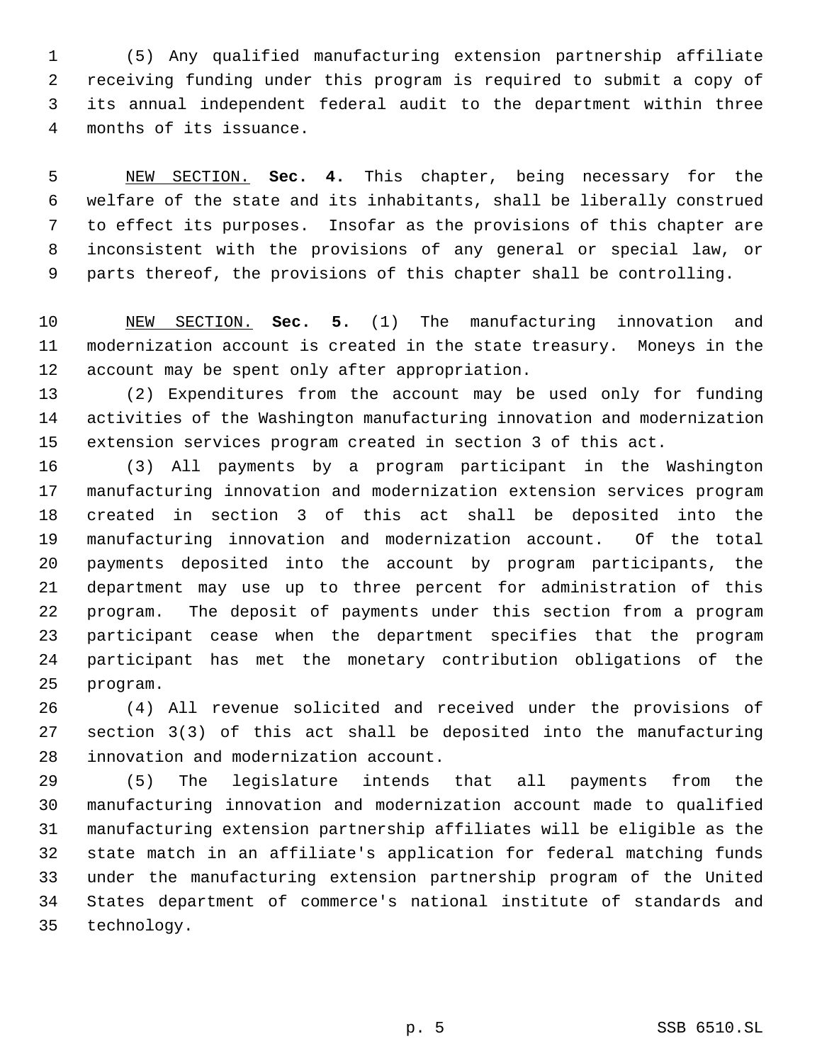(5) Any qualified manufacturing extension partnership affiliate receiving funding under this program is required to submit a copy of its annual independent federal audit to the department within three months of its issuance.

 NEW SECTION. **Sec. 4.** This chapter, being necessary for the welfare of the state and its inhabitants, shall be liberally construed to effect its purposes. Insofar as the provisions of this chapter are inconsistent with the provisions of any general or special law, or parts thereof, the provisions of this chapter shall be controlling.

 NEW SECTION. **Sec. 5.** (1) The manufacturing innovation and modernization account is created in the state treasury. Moneys in the account may be spent only after appropriation.

 (2) Expenditures from the account may be used only for funding activities of the Washington manufacturing innovation and modernization extension services program created in section 3 of this act.

 (3) All payments by a program participant in the Washington manufacturing innovation and modernization extension services program created in section 3 of this act shall be deposited into the manufacturing innovation and modernization account. Of the total payments deposited into the account by program participants, the department may use up to three percent for administration of this program. The deposit of payments under this section from a program participant cease when the department specifies that the program participant has met the monetary contribution obligations of the program.

 (4) All revenue solicited and received under the provisions of section 3(3) of this act shall be deposited into the manufacturing innovation and modernization account.

 (5) The legislature intends that all payments from the manufacturing innovation and modernization account made to qualified manufacturing extension partnership affiliates will be eligible as the state match in an affiliate's application for federal matching funds under the manufacturing extension partnership program of the United States department of commerce's national institute of standards and technology.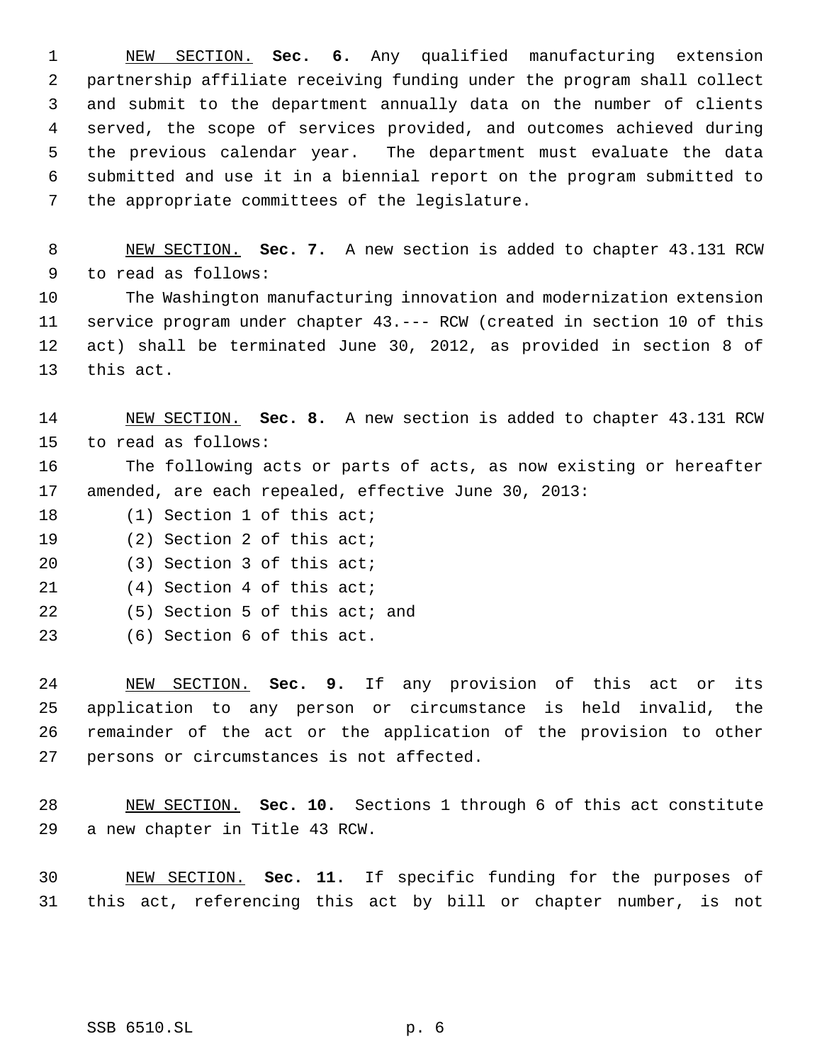NEW SECTION. **Sec. 6.** Any qualified manufacturing extension partnership affiliate receiving funding under the program shall collect and submit to the department annually data on the number of clients served, the scope of services provided, and outcomes achieved during the previous calendar year. The department must evaluate the data submitted and use it in a biennial report on the program submitted to the appropriate committees of the legislature.

 NEW SECTION. **Sec. 7.** A new section is added to chapter 43.131 RCW to read as follows:

 The Washington manufacturing innovation and modernization extension service program under chapter 43.--- RCW (created in section 10 of this act) shall be terminated June 30, 2012, as provided in section 8 of this act.

 NEW SECTION. **Sec. 8.** A new section is added to chapter 43.131 RCW to read as follows:

 The following acts or parts of acts, as now existing or hereafter amended, are each repealed, effective June 30, 2013:

- 18 (1) Section 1 of this act;
- (2) Section 2 of this act;
- (3) Section 3 of this act;
- (4) Section 4 of this act;
- (5) Section 5 of this act; and
- (6) Section 6 of this act.

 NEW SECTION. **Sec. 9.** If any provision of this act or its application to any person or circumstance is held invalid, the remainder of the act or the application of the provision to other persons or circumstances is not affected.

 NEW SECTION. **Sec. 10.** Sections 1 through 6 of this act constitute a new chapter in Title 43 RCW.

 NEW SECTION. **Sec. 11.** If specific funding for the purposes of this act, referencing this act by bill or chapter number, is not